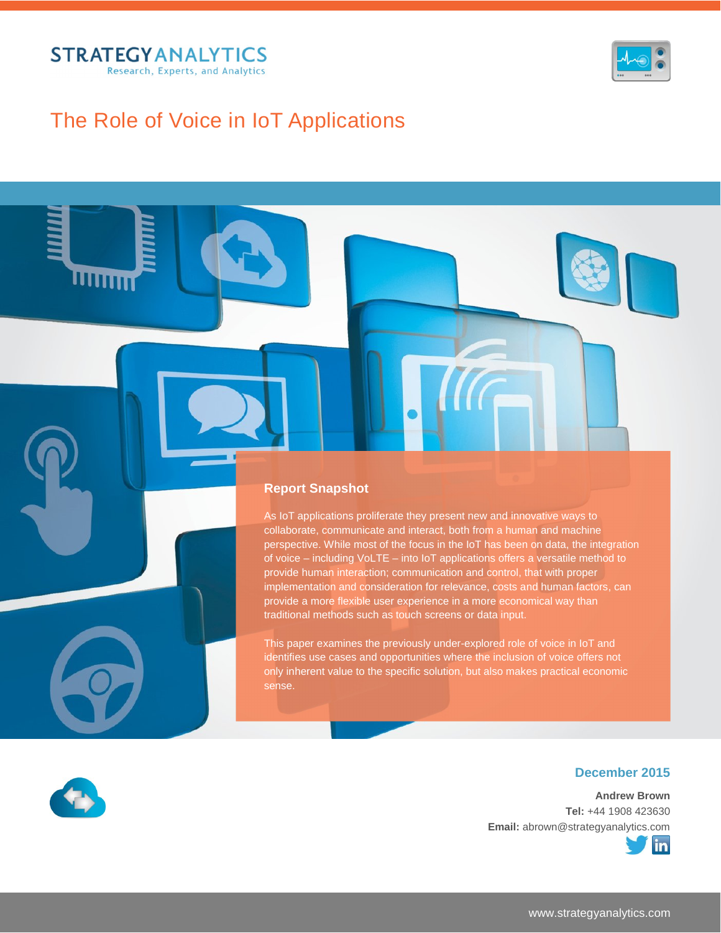

wm



## The Role of Voice in IoT Applications

### **Report Snapshot**

As IoT applications proliferate they present new and innovative ways to collaborate, communicate and interact, both from a human and machine perspective. While most of the focus in the IoT has been on data, the integration of voice – including VoLTE – into IoT applications offers a versatile method to provide human interaction; communication and control, that with proper implementation and consideration for relevance, costs and human factors, can provide a more flexible user experience in a more economical way than traditional methods such as touch screens or data input.

This paper examines the previously under-explored role of voice in IoT and identifies use cases and opportunities where the inclusion of voice offers not only inherent value to the specific solution, but also makes practical economic sense.



### **December 2015**

**Andrew Brown Tel:** +44 1908 423630 **Email:** abrown@strategyanalytics.com

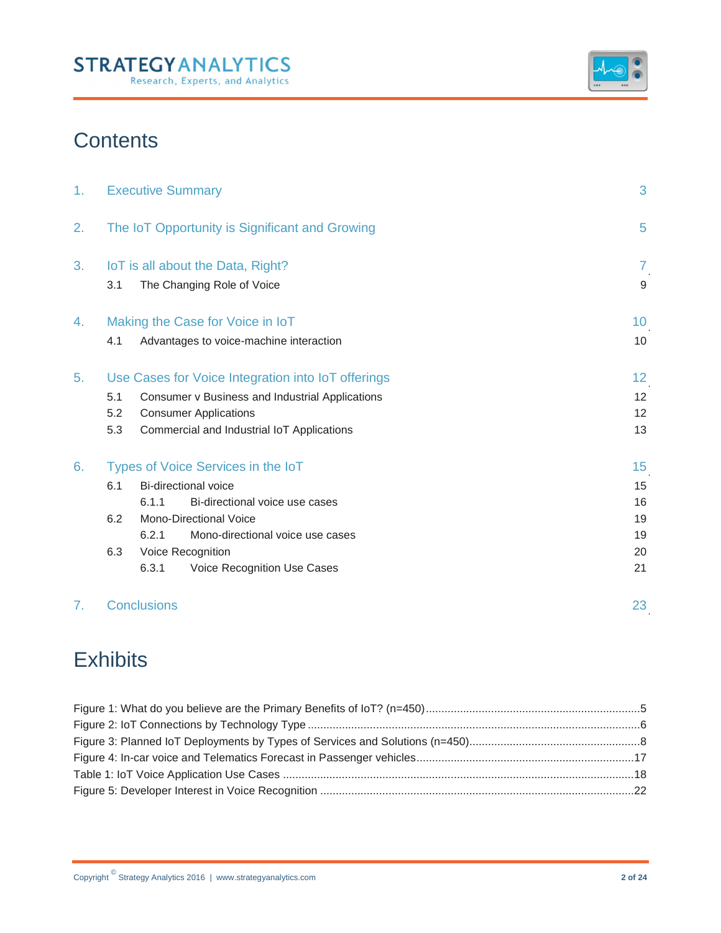## **STRATEGYANALYTICS** Research, Experts, and Analytics



# **Contents**

| 1. | 3<br><b>Executive Summary</b>                       |                                                    |    |  |  |
|----|-----------------------------------------------------|----------------------------------------------------|----|--|--|
| 2. | The IoT Opportunity is Significant and Growing<br>5 |                                                    |    |  |  |
| 3. | IoT is all about the Data, Right?<br>7              |                                                    |    |  |  |
|    | 3.1                                                 | The Changing Role of Voice                         | 9  |  |  |
| 4. | Making the Case for Voice in IoT                    |                                                    |    |  |  |
|    | 4.1                                                 | Advantages to voice-machine interaction            | 10 |  |  |
| 5. |                                                     | Use Cases for Voice Integration into IoT offerings | 12 |  |  |
|    | 5.1                                                 | Consumer v Business and Industrial Applications    | 12 |  |  |
|    | 5.2                                                 | <b>Consumer Applications</b>                       | 12 |  |  |
|    | 5.3                                                 | Commercial and Industrial IoT Applications         | 13 |  |  |
| 6. | Types of Voice Services in the IoT<br>15            |                                                    |    |  |  |
|    | 6.1                                                 | Bi-directional voice                               | 15 |  |  |
|    |                                                     | Bi-directional voice use cases<br>6.1.1            | 16 |  |  |
|    | 6.2                                                 | Mono-Directional Voice                             | 19 |  |  |
|    |                                                     | 6.2.1<br>Mono-directional voice use cases          | 19 |  |  |
|    | 6.3                                                 | Voice Recognition                                  | 20 |  |  |
|    |                                                     | 6.3.1<br>Voice Recognition Use Cases               | 21 |  |  |
|    |                                                     | Conclusions                                        | 23 |  |  |

# **Exhibits**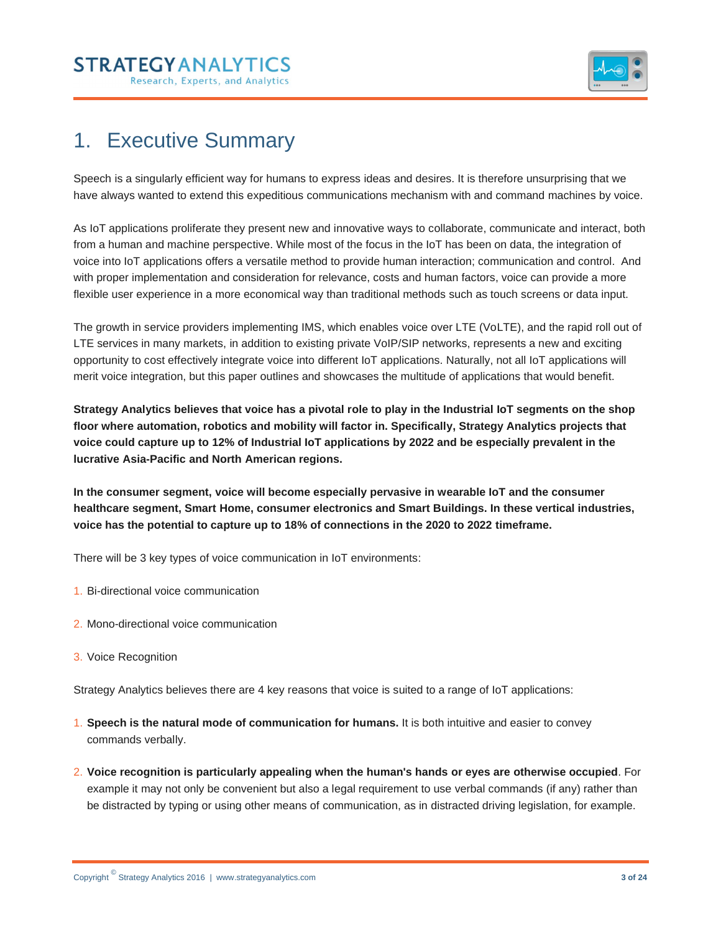



## 1. Executive Summary

Speech is a singularly efficient way for humans to express ideas and desires. It is therefore unsurprising that we have always wanted to extend this expeditious communications mechanism with and command machines by voice.

As IoT applications proliferate they present new and innovative ways to collaborate, communicate and interact, both from a human and machine perspective. While most of the focus in the IoT has been on data, the integration of voice into IoT applications offers a versatile method to provide human interaction; communication and control. And with proper implementation and consideration for relevance, costs and human factors, voice can provide a more flexible user experience in a more economical way than traditional methods such as touch screens or data input.

The growth in service providers implementing IMS, which enables voice over LTE (VoLTE), and the rapid roll out of LTE services in many markets, in addition to existing private VoIP/SIP networks, represents a new and exciting opportunity to cost effectively integrate voice into different IoT applications. Naturally, not all IoT applications will merit voice integration, but this paper outlines and showcases the multitude of applications that would benefit.

**Strategy Analytics believes that voice has a pivotal role to play in the Industrial IoT segments on the shop floor where automation, robotics and mobility will factor in. Specifically, Strategy Analytics projects that voice could capture up to 12% of Industrial IoT applications by 2022 and be especially prevalent in the lucrative Asia-Pacific and North American regions.** 

**In the consumer segment, voice will become especially pervasive in wearable IoT and the consumer healthcare segment, Smart Home, consumer electronics and Smart Buildings. In these vertical industries, voice has the potential to capture up to 18% of connections in the 2020 to 2022 timeframe.**

There will be 3 key types of voice communication in IoT environments:

- 1. Bi-directional voice communication
- 2. Mono-directional voice communication
- 3. Voice Recognition

Strategy Analytics believes there are 4 key reasons that voice is suited to a range of IoT applications:

- 1. **Speech is the natural mode of communication for humans.** It is both intuitive and easier to convey commands verbally.
- 2. **Voice recognition is particularly appealing when the human's hands or eyes are otherwise occupied**. For example it may not only be convenient but also a legal requirement to use verbal commands (if any) rather than be distracted by typing or using other means of communication, as in distracted driving legislation, for example.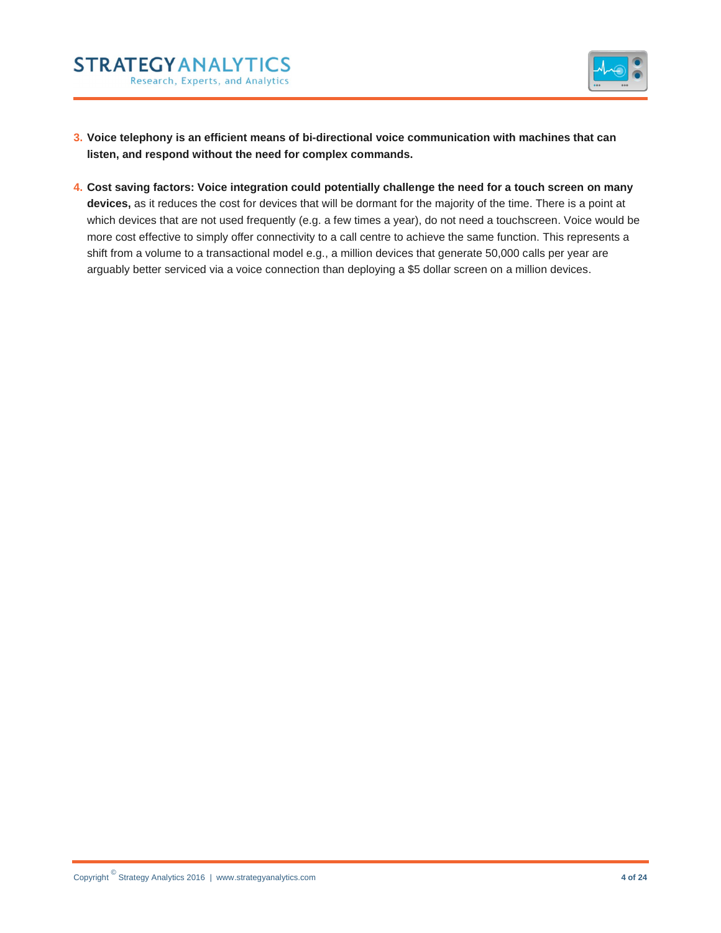



- **3. Voice telephony is an efficient means of bi-directional voice communication with machines that can listen, and respond without the need for complex commands.**
- **4. Cost saving factors: Voice integration could potentially challenge the need for a touch screen on many devices,** as it reduces the cost for devices that will be dormant for the majority of the time. There is a point at which devices that are not used frequently (e.g. a few times a year), do not need a touchscreen. Voice would be more cost effective to simply offer connectivity to a call centre to achieve the same function. This represents a shift from a volume to a transactional model e.g., a million devices that generate 50,000 calls per year are arguably better serviced via a voice connection than deploying a \$5 dollar screen on a million devices.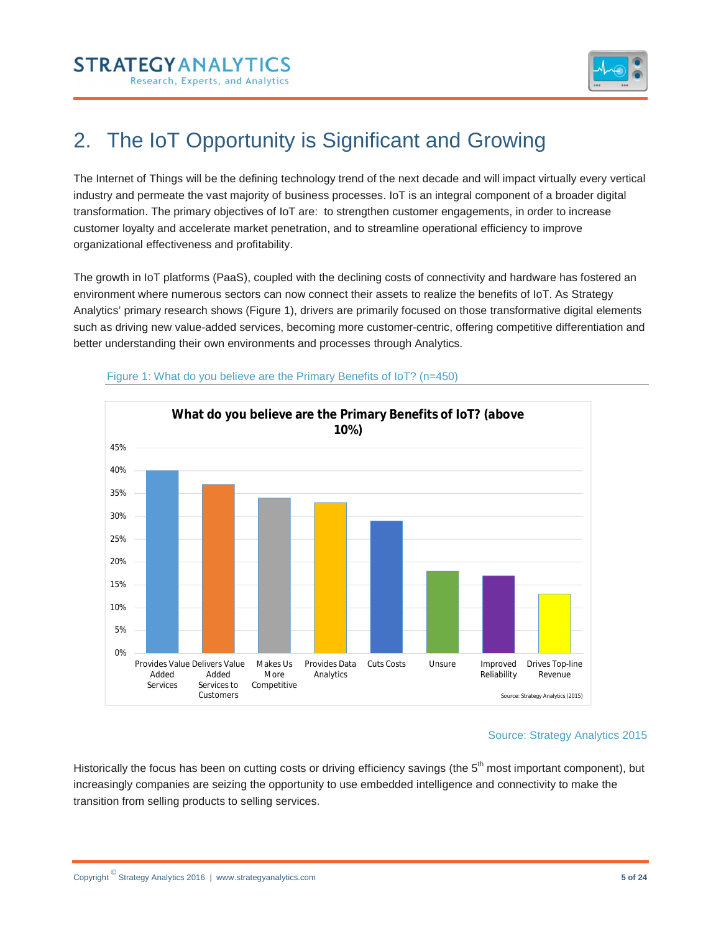



# 2. The IoT Opportunity is Significant and Growing

The Internet of Things will be the defining technology trend of the next decade and will impact virtually every vertical industry and permeate the vast majority of business processes. IoT is an integral component of a broader digital transformation. The primary objectives of IoT are: to strengthen customer engagements, in order to increase customer loyalty and accelerate market penetration, and to streamline operational efficiency to improve organizational effectiveness and profitability.

The growth in IoT platforms (PaaS), coupled with the declining costs of connectivity and hardware has fostered an environment where numerous sectors can now connect their assets to realize the benefits of IoT. As Strategy Analytics' primary research shows (Figure 1), drivers are primarily focused on those transformative digital elements such as driving new value-added services, becoming more customer-centric, offering competitive differentiation and better understanding their own environments and processes through Analytics.



#### Figure 1: What do you believe are the Primary Benefits of IoT? (n=450)

#### Source: Strategy Analytics 2015

Historically the focus has been on cutting costs or driving efficiency savings (the 5<sup>th</sup> most important component), but increasingly companies are seizing the opportunity to use embedded intelligence and connectivity to make the transition from selling products to selling services.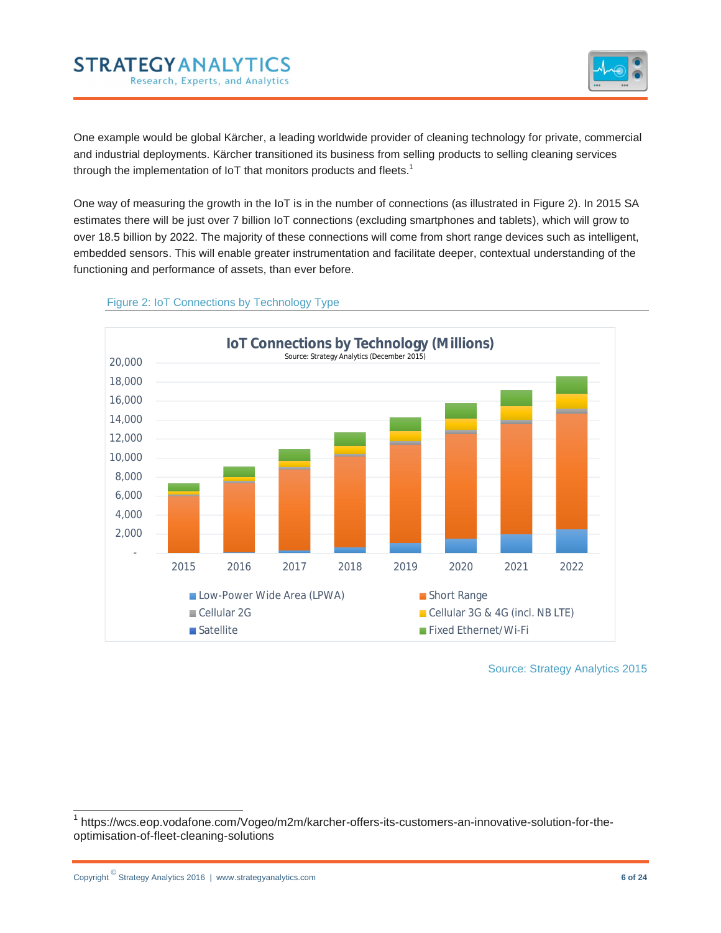



One example would be global Kärcher, a leading worldwide provider of cleaning technology for private, commercial and industrial deployments. Kärcher transitioned its business from selling products to selling cleaning services through the implementation of IoT that monitors products and fleets.<sup>1</sup>

One way of measuring the growth in the IoT is in the number of connections (as illustrated in Figure 2). In 2015 SA estimates there will be just over 7 billion IoT connections (excluding smartphones and tablets), which will grow to over 18.5 billion by 2022. The majority of these connections will come from short range devices such as intelligent, embedded sensors. This will enable greater instrumentation and facilitate deeper, contextual understanding of the functioning and performance of assets, than ever before.



#### Figure 2: IoT Connections by Technology Type

Source: Strategy Analytics 2015

 <sup>1</sup> https://wcs.eop.vodafone.com/Vogeo/m2m/karcher-offers-its-customers-an-innovative-solution-for-theoptimisation-of-fleet-cleaning-solutions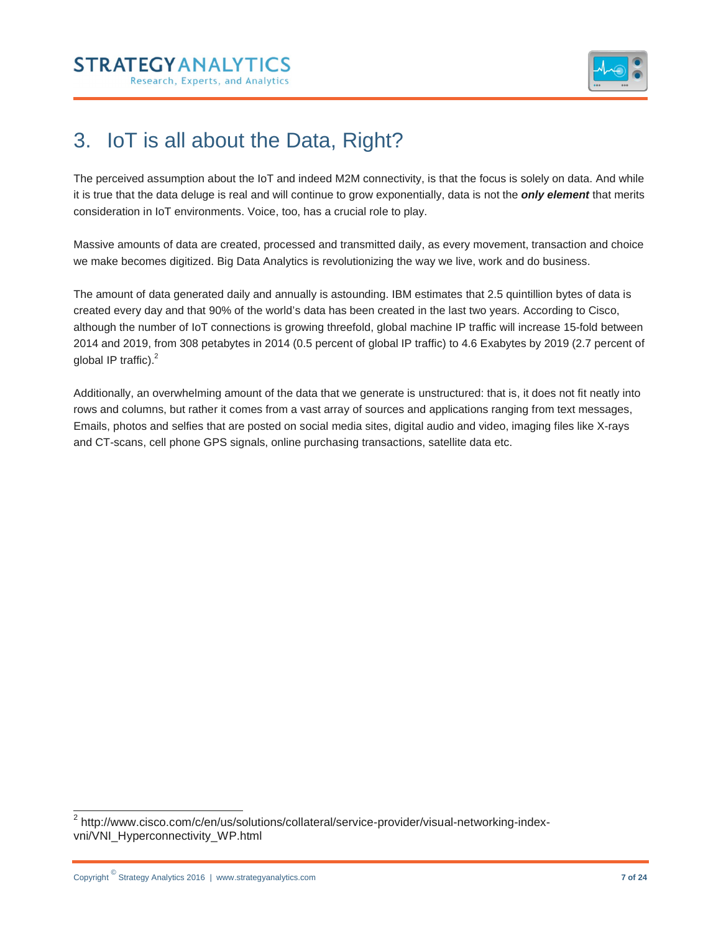



## 3. IoT is all about the Data, Right?

The perceived assumption about the IoT and indeed M2M connectivity, is that the focus is solely on data. And while it is true that the data deluge is real and will continue to grow exponentially, data is not the *only element* that merits consideration in IoT environments. Voice, too, has a crucial role to play.

Massive amounts of data are created, processed and transmitted daily, as every movement, transaction and choice we make becomes digitized. Big Data Analytics is revolutionizing the way we live, work and do business.

The amount of data generated daily and annually is astounding. IBM estimates that 2.5 quintillion bytes of data is created every day and that 90% of the world's data has been created in the last two years. According to Cisco, although the number of IoT connections is growing threefold, global machine IP traffic will increase 15-fold between 2014 and 2019, from 308 petabytes in 2014 (0.5 percent of global IP traffic) to 4.6 Exabytes by 2019 (2.7 percent of global IP traffic).<sup>2</sup>

Additionally, an overwhelming amount of the data that we generate is unstructured: that is, it does not fit neatly into rows and columns, but rather it comes from a vast array of sources and applications ranging from text messages, Emails, photos and selfies that are posted on social media sites, digital audio and video, imaging files like X-rays and CT-scans, cell phone GPS signals, online purchasing transactions, satellite data etc.

 <sup>2</sup> http://www.cisco.com/c/en/us/solutions/collateral/service-provider/visual-networking-indexvni/VNI\_Hyperconnectivity\_WP.html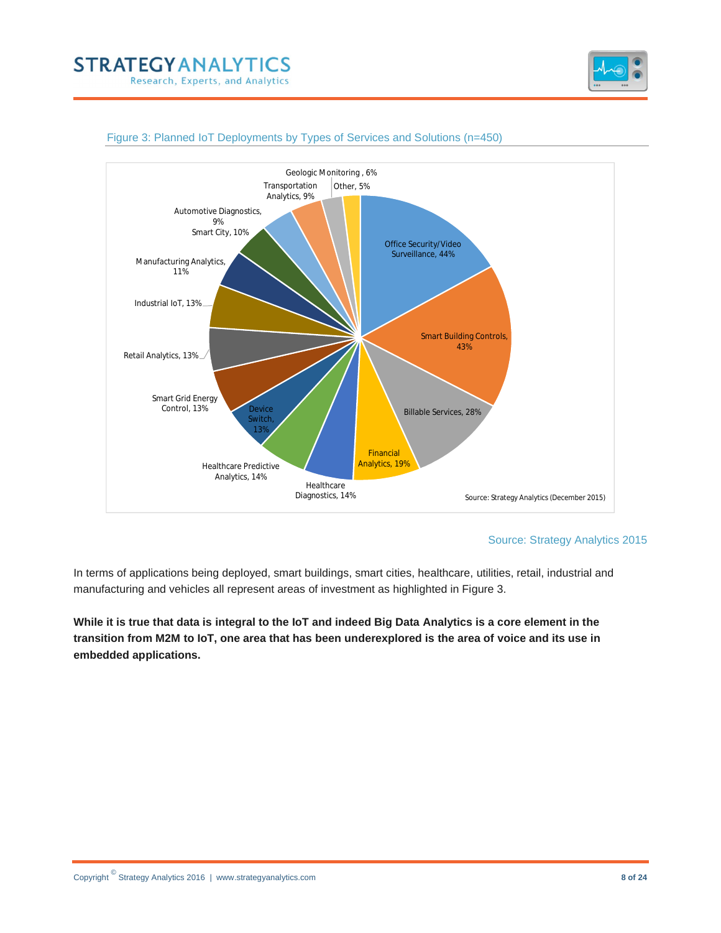





#### Figure 3: Planned IoT Deployments by Types of Services and Solutions (n=450)

Source: Strategy Analytics 2015

In terms of applications being deployed, smart buildings, smart cities, healthcare, utilities, retail, industrial and manufacturing and vehicles all represent areas of investment as highlighted in Figure 3.

**While it is true that data is integral to the IoT and indeed Big Data Analytics is a core element in the transition from M2M to IoT, one area that has been underexplored is the area of voice and its use in embedded applications.**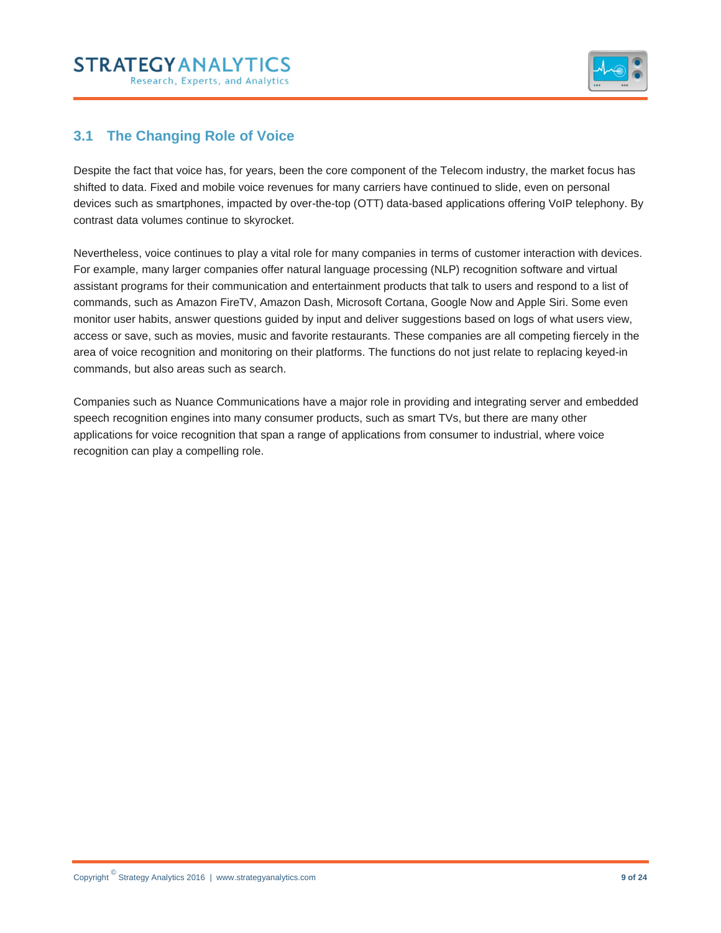## **STRATEGYANALYTICS** Research, Experts, and Analytics



## **3.1 The Changing Role of Voice**

Despite the fact that voice has, for years, been the core component of the Telecom industry, the market focus has shifted to data. Fixed and mobile voice revenues for many carriers have continued to slide, even on personal devices such as smartphones, impacted by over-the-top (OTT) data-based applications offering VoIP telephony. By contrast data volumes continue to skyrocket.

Nevertheless, voice continues to play a vital role for many companies in terms of customer interaction with devices. For example, many larger companies offer natural language processing (NLP) recognition software and virtual assistant programs for their communication and entertainment products that talk to users and respond to a list of commands, such as Amazon FireTV, Amazon Dash, Microsoft Cortana, Google Now and Apple Siri. Some even monitor user habits, answer questions guided by input and deliver suggestions based on logs of what users view, access or save, such as movies, music and favorite restaurants. These companies are all competing fiercely in the area of voice recognition and monitoring on their platforms. The functions do not just relate to replacing keyed-in commands, but also areas such as search.

Companies such as Nuance Communications have a major role in providing and integrating server and embedded speech recognition engines into many consumer products, such as smart TVs, but there are many other applications for voice recognition that span a range of applications from consumer to industrial, where voice recognition can play a compelling role.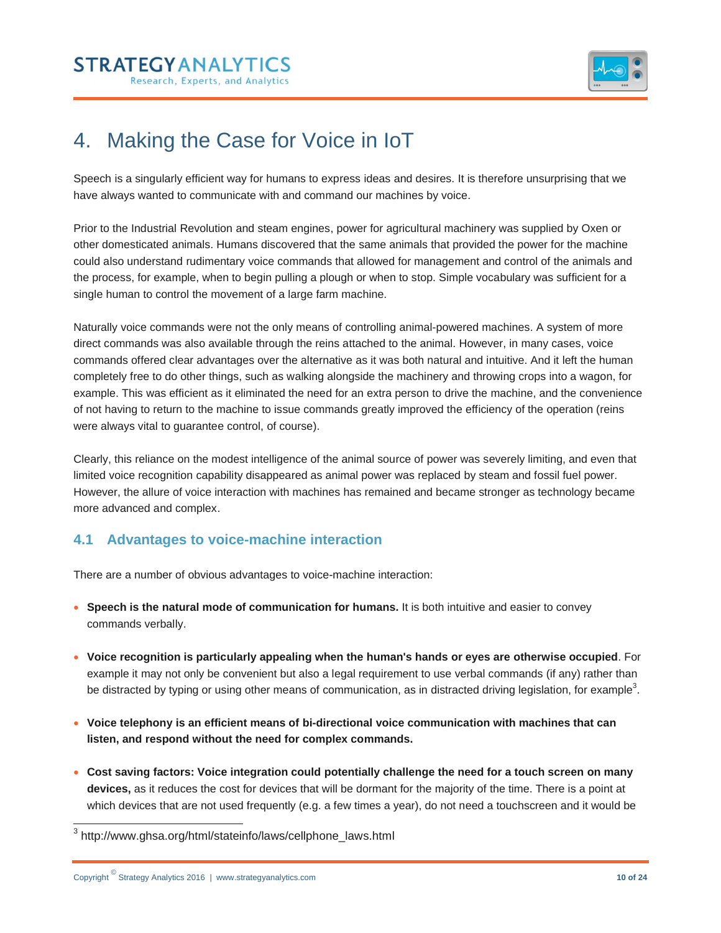## **STRATEGYANALYTIC** Research, Experts, and Analytics



## 4. Making the Case for Voice in IoT

Speech is a singularly efficient way for humans to express ideas and desires. It is therefore unsurprising that we have always wanted to communicate with and command our machines by voice.

Prior to the Industrial Revolution and steam engines, power for agricultural machinery was supplied by Oxen or other domesticated animals. Humans discovered that the same animals that provided the power for the machine could also understand rudimentary voice commands that allowed for management and control of the animals and the process, for example, when to begin pulling a plough or when to stop. Simple vocabulary was sufficient for a single human to control the movement of a large farm machine.

Naturally voice commands were not the only means of controlling animal-powered machines. A system of more direct commands was also available through the reins attached to the animal. However, in many cases, voice commands offered clear advantages over the alternative as it was both natural and intuitive. And it left the human completely free to do other things, such as walking alongside the machinery and throwing crops into a wagon, for example. This was efficient as it eliminated the need for an extra person to drive the machine, and the convenience of not having to return to the machine to issue commands greatly improved the efficiency of the operation (reins were always vital to guarantee control, of course).

Clearly, this reliance on the modest intelligence of the animal source of power was severely limiting, and even that limited voice recognition capability disappeared as animal power was replaced by steam and fossil fuel power. However, the allure of voice interaction with machines has remained and became stronger as technology became more advanced and complex.

### **4.1 Advantages to voice-machine interaction**

There are a number of obvious advantages to voice-machine interaction:

- **Speech is the natural mode of communication for humans.** It is both intuitive and easier to convey commands verbally.
- **Voice recognition is particularly appealing when the human's hands or eyes are otherwise occupied**. For example it may not only be convenient but also a legal requirement to use verbal commands (if any) rather than be distracted by typing or using other means of communication, as in distracted driving legislation, for example<sup>3</sup>.
- **Voice telephony is an efficient means of bi-directional voice communication with machines that can listen, and respond without the need for complex commands.**
- **Cost saving factors: Voice integration could potentially challenge the need for a touch screen on many devices,** as it reduces the cost for devices that will be dormant for the majority of the time. There is a point at which devices that are not used frequently (e.g. a few times a year), do not need a touchscreen and it would be

 <sup>3</sup> http://www.ghsa.org/html/stateinfo/laws/cellphone\_laws.html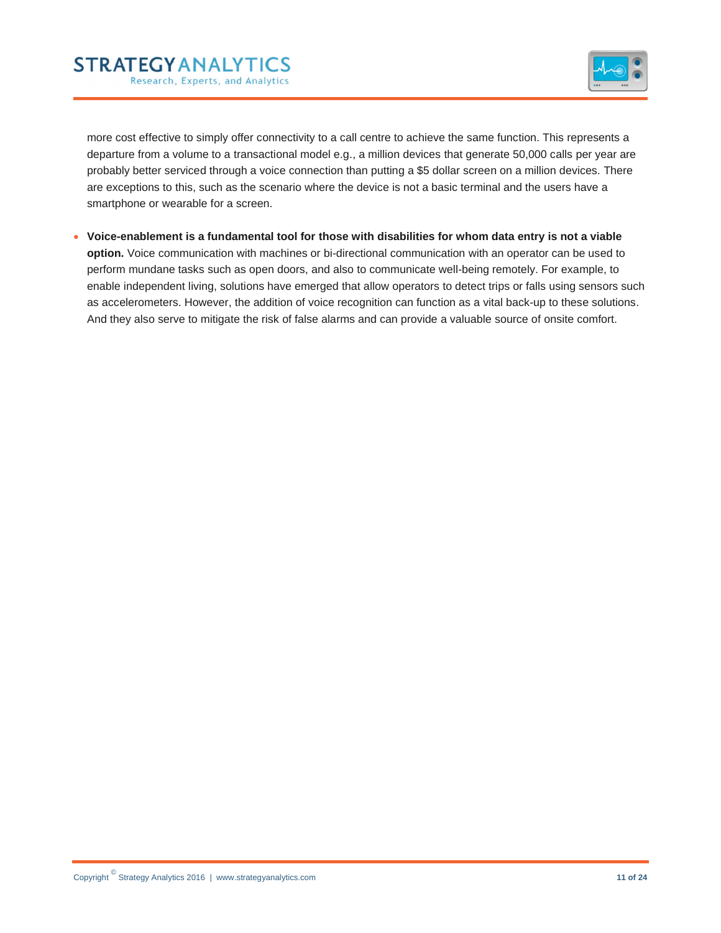## **STRATEGYANALYTICS** Research, Experts, and Analytics



more cost effective to simply offer connectivity to a call centre to achieve the same function. This represents a departure from a volume to a transactional model e.g., a million devices that generate 50,000 calls per year are probably better serviced through a voice connection than putting a \$5 dollar screen on a million devices. There are exceptions to this, such as the scenario where the device is not a basic terminal and the users have a smartphone or wearable for a screen.

 **Voice-enablement is a fundamental tool for those with disabilities for whom data entry is not a viable option.** Voice communication with machines or bi-directional communication with an operator can be used to perform mundane tasks such as open doors, and also to communicate well-being remotely. For example, to enable independent living, solutions have emerged that allow operators to detect trips or falls using sensors such as accelerometers. However, the addition of voice recognition can function as a vital back-up to these solutions. And they also serve to mitigate the risk of false alarms and can provide a valuable source of onsite comfort.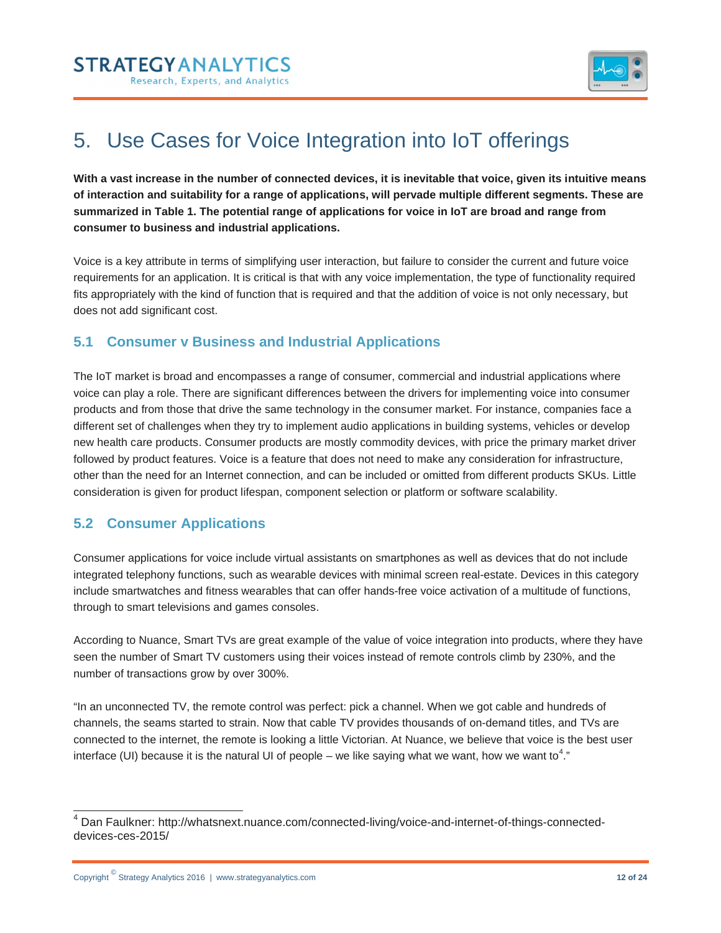

# 5. Use Cases for Voice Integration into IoT offerings

**With a vast increase in the number of connected devices, it is inevitable that voice, given its intuitive means of interaction and suitability for a range of applications, will pervade multiple different segments. These are summarized in Table 1. The potential range of applications for voice in IoT are broad and range from consumer to business and industrial applications.**

Voice is a key attribute in terms of simplifying user interaction, but failure to consider the current and future voice requirements for an application. It is critical is that with any voice implementation, the type of functionality required fits appropriately with the kind of function that is required and that the addition of voice is not only necessary, but does not add significant cost.

### **5.1 Consumer v Business and Industrial Applications**

The IoT market is broad and encompasses a range of consumer, commercial and industrial applications where voice can play a role. There are significant differences between the drivers for implementing voice into consumer products and from those that drive the same technology in the consumer market. For instance, companies face a different set of challenges when they try to implement audio applications in building systems, vehicles or develop new health care products. Consumer products are mostly commodity devices, with price the primary market driver followed by product features. Voice is a feature that does not need to make any consideration for infrastructure, other than the need for an Internet connection, and can be included or omitted from different products SKUs. Little consideration is given for product lifespan, component selection or platform or software scalability.

### **5.2 Consumer Applications**

Consumer applications for voice include virtual assistants on smartphones as well as devices that do not include integrated telephony functions, such as wearable devices with minimal screen real-estate. Devices in this category include smartwatches and fitness wearables that can offer hands-free voice activation of a multitude of functions, through to smart televisions and games consoles.

According to Nuance, Smart TVs are great example of the value of voice integration into products, where they have seen the number of Smart TV customers using their voices instead of remote controls climb by 230%, and the number of transactions grow by over 300%.

"In an unconnected TV, the remote control was perfect: pick a channel. When we got cable and hundreds of channels, the seams started to strain. Now that cable TV provides thousands of on-demand titles, and TVs are connected to the internet, the remote is looking a little Victorian. At Nuance, we believe that voice is the best user interface (UI) because it is the natural UI of people – we like saying what we want, how we want to<sup>4</sup>."

 <sup>4</sup> Dan Faulkner: http://whatsnext.nuance.com/connected-living/voice-and-internet-of-things-connecteddevices-ces-2015/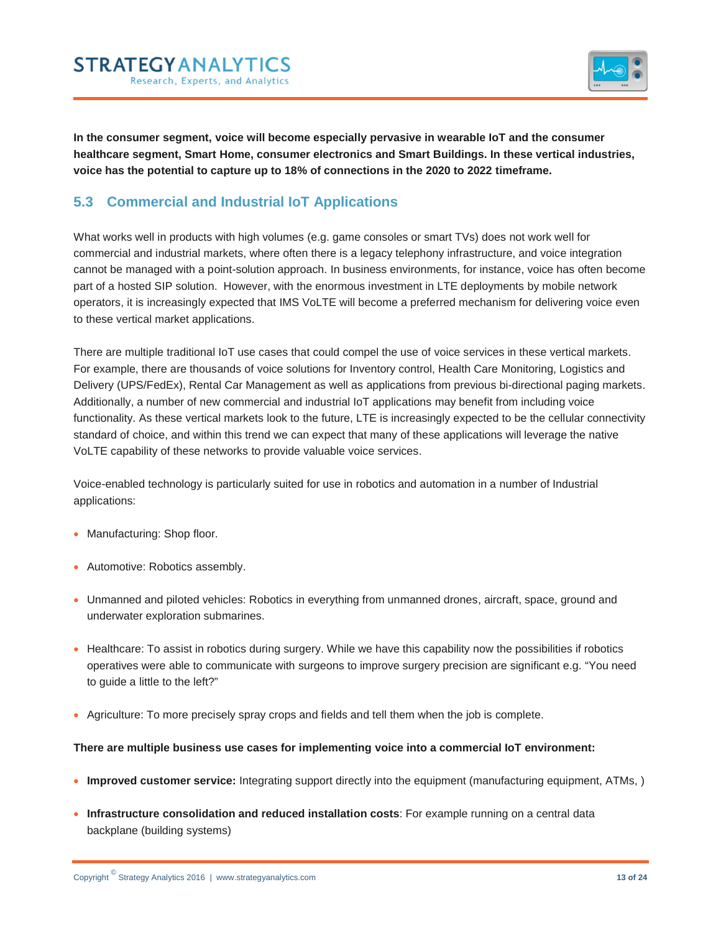



**In the consumer segment, voice will become especially pervasive in wearable IoT and the consumer healthcare segment, Smart Home, consumer electronics and Smart Buildings. In these vertical industries, voice has the potential to capture up to 18% of connections in the 2020 to 2022 timeframe.**

### **5.3 Commercial and Industrial IoT Applications**

What works well in products with high volumes (e.g. game consoles or smart TVs) does not work well for commercial and industrial markets, where often there is a legacy telephony infrastructure, and voice integration cannot be managed with a point-solution approach. In business environments, for instance, voice has often become part of a hosted SIP solution. However, with the enormous investment in LTE deployments by mobile network operators, it is increasingly expected that IMS VoLTE will become a preferred mechanism for delivering voice even to these vertical market applications.

There are multiple traditional IoT use cases that could compel the use of voice services in these vertical markets. For example, there are thousands of voice solutions for Inventory control, Health Care Monitoring, Logistics and Delivery (UPS/FedEx), Rental Car Management as well as applications from previous bi-directional paging markets. Additionally, a number of new commercial and industrial IoT applications may benefit from including voice functionality. As these vertical markets look to the future, LTE is increasingly expected to be the cellular connectivity standard of choice, and within this trend we can expect that many of these applications will leverage the native VoLTE capability of these networks to provide valuable voice services.

Voice-enabled technology is particularly suited for use in robotics and automation in a number of Industrial applications:

- Manufacturing: Shop floor.
- Automotive: Robotics assembly.
- Unmanned and piloted vehicles: Robotics in everything from unmanned drones, aircraft, space, ground and underwater exploration submarines.
- Healthcare: To assist in robotics during surgery. While we have this capability now the possibilities if robotics operatives were able to communicate with surgeons to improve surgery precision are significant e.g. "You need to guide a little to the left?"
- Agriculture: To more precisely spray crops and fields and tell them when the job is complete.

#### **There are multiple business use cases for implementing voice into a commercial IoT environment:**

- **Improved customer service:** Integrating support directly into the equipment (manufacturing equipment, ATMs, )
- **Infrastructure consolidation and reduced installation costs**: For example running on a central data backplane (building systems)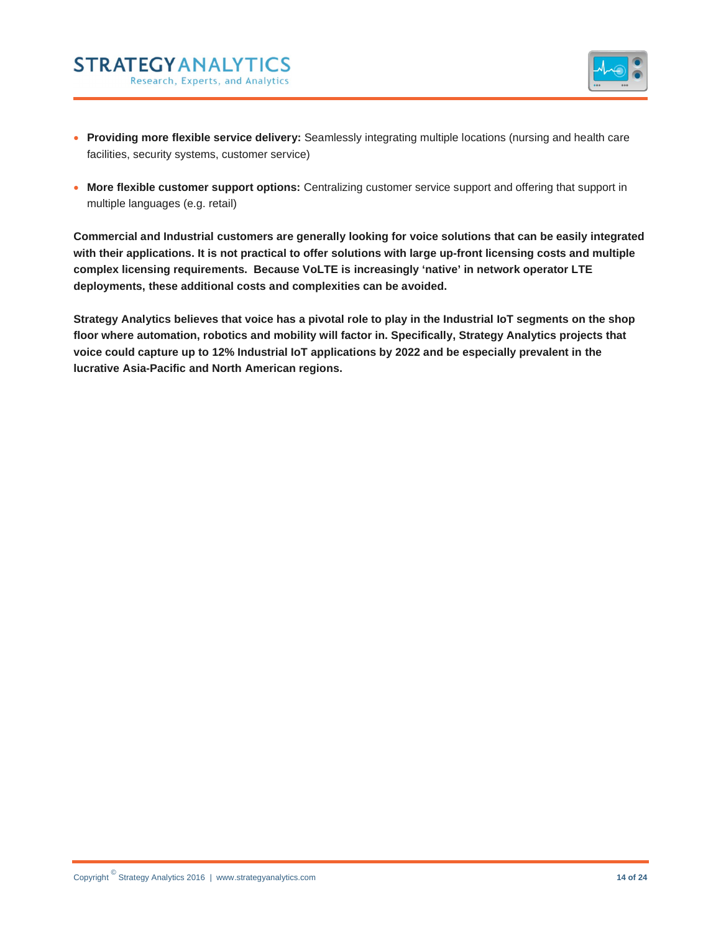

- **Providing more flexible service delivery:** Seamlessly integrating multiple locations (nursing and health care facilities, security systems, customer service)
- **More flexible customer support options:** Centralizing customer service support and offering that support in multiple languages (e.g. retail)

**Commercial and Industrial customers are generally looking for voice solutions that can be easily integrated with their applications. It is not practical to offer solutions with large up-front licensing costs and multiple complex licensing requirements. Because VoLTE is increasingly 'native' in network operator LTE deployments, these additional costs and complexities can be avoided.**

**Strategy Analytics believes that voice has a pivotal role to play in the Industrial IoT segments on the shop floor where automation, robotics and mobility will factor in. Specifically, Strategy Analytics projects that voice could capture up to 12% Industrial IoT applications by 2022 and be especially prevalent in the lucrative Asia-Pacific and North American regions.** 

**STRATEGYANALYTICS** 

Research, Experts, and Analytics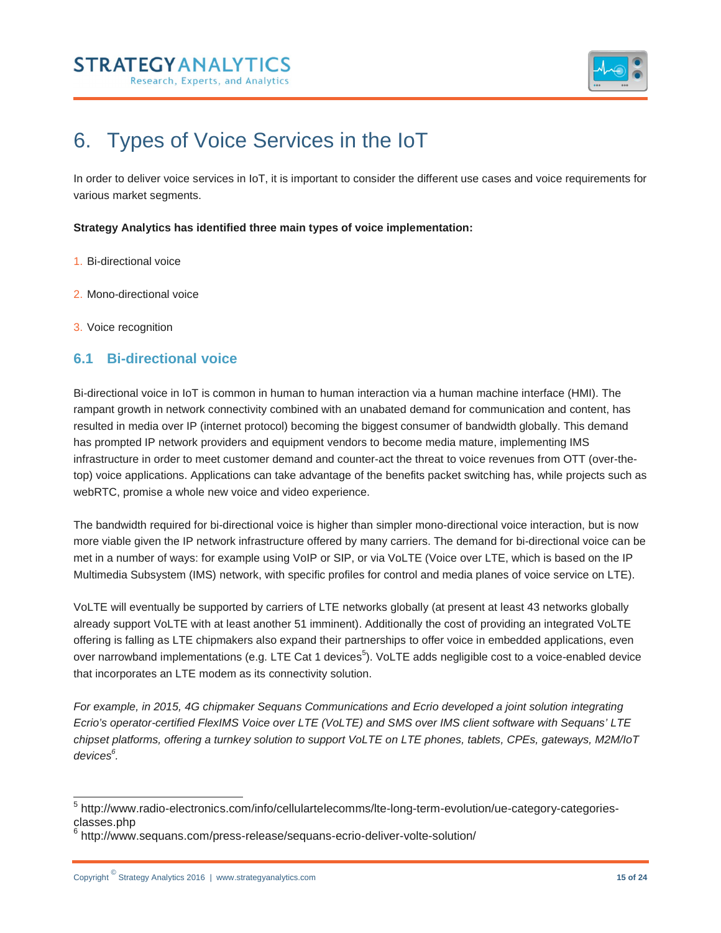



## 6. Types of Voice Services in the IoT

In order to deliver voice services in IoT, it is important to consider the different use cases and voice requirements for various market segments.

#### **Strategy Analytics has identified three main types of voice implementation:**

- 1. Bi-directional voice
- 2. Mono-directional voice
- 3. Voice recognition

### **6.1 Bi-directional voice**

Bi-directional voice in IoT is common in human to human interaction via a human machine interface (HMI). The rampant growth in network connectivity combined with an unabated demand for communication and content, has resulted in media over IP (internet protocol) becoming the biggest consumer of bandwidth globally. This demand has prompted IP network providers and equipment vendors to become media mature, implementing IMS infrastructure in order to meet customer demand and counter-act the threat to voice revenues from OTT (over-thetop) voice applications. Applications can take advantage of the benefits packet switching has, while projects such as webRTC, promise a whole new voice and video experience.

The bandwidth required for bi-directional voice is higher than simpler mono-directional voice interaction, but is now more viable given the IP network infrastructure offered by many carriers. The demand for bi-directional voice can be met in a number of ways: for example using VoIP or SIP, or via VoLTE (Voice over LTE, which is based on the IP Multimedia Subsystem (IMS) network, with specific profiles for control and media planes of voice service on LTE).

VoLTE will eventually be supported by carriers of LTE networks globally (at present at least 43 networks globally already support VoLTE with at least another 51 imminent). Additionally the cost of providing an integrated VoLTE offering is falling as LTE chipmakers also expand their partnerships to offer voice in embedded applications, even over narrowband implementations (e.g. LTE Cat 1 devices<sup>5</sup>). VoLTE adds negligible cost to a voice-enabled device that incorporates an LTE modem as its connectivity solution.

*For example, in 2015, 4G chipmaker Sequans Communications and Ecrio developed a joint solution integrating Ecrio's operator-certified FlexIMS Voice over LTE (VoLTE) and SMS over IMS client software with Sequans' LTE chipset platforms, offering a turnkey solution to support VoLTE on LTE phones, tablets, CPEs, gateways, M2M/IoT devices6 .* 

 <sup>5</sup> http://www.radio-electronics.com/info/cellulartelecomms/lte-long-term-evolution/ue-category-categoriesclasses.php

<sup>6</sup> http://www.sequans.com/press-release/sequans-ecrio-deliver-volte-solution/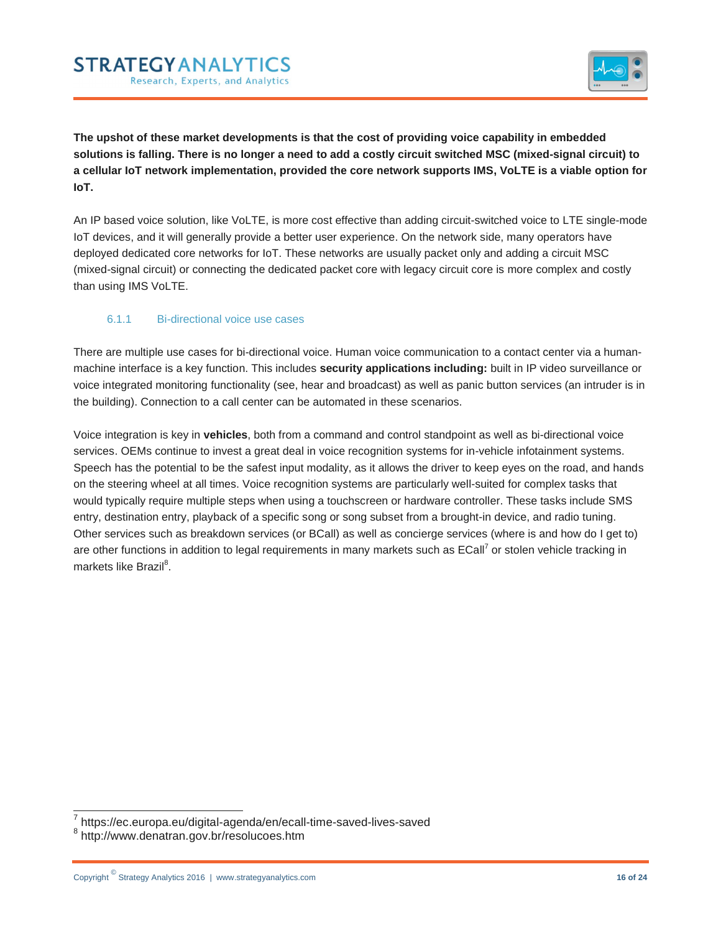### **STRATEGY ANALYTICS** Research, Experts, and Analytics



**The upshot of these market developments is that the cost of providing voice capability in embedded solutions is falling. There is no longer a need to add a costly circuit switched MSC (mixed-signal circuit) to a cellular IoT network implementation, provided the core network supports IMS, VoLTE is a viable option for IoT.** 

An IP based voice solution, like VoLTE, is more cost effective than adding circuit-switched voice to LTE single-mode IoT devices, and it will generally provide a better user experience. On the network side, many operators have deployed dedicated core networks for IoT. These networks are usually packet only and adding a circuit MSC (mixed-signal circuit) or connecting the dedicated packet core with legacy circuit core is more complex and costly than using IMS VoLTE.

#### 6.1.1 Bi-directional voice use cases

There are multiple use cases for bi-directional voice. Human voice communication to a contact center via a humanmachine interface is a key function. This includes **security applications including:** built in IP video surveillance or voice integrated monitoring functionality (see, hear and broadcast) as well as panic button services (an intruder is in the building). Connection to a call center can be automated in these scenarios.

Voice integration is key in **vehicles**, both from a command and control standpoint as well as bi-directional voice services. OEMs continue to invest a great deal in voice recognition systems for in-vehicle infotainment systems. Speech has the potential to be the safest input modality, as it allows the driver to keep eyes on the road, and hands on the steering wheel at all times. Voice recognition systems are particularly well-suited for complex tasks that would typically require multiple steps when using a touchscreen or hardware controller. These tasks include SMS entry, destination entry, playback of a specific song or song subset from a brought-in device, and radio tuning. Other services such as breakdown services (or BCall) as well as concierge services (where is and how do I get to) are other functions in addition to legal requirements in many markets such as ECall<sup>7</sup> or stolen vehicle tracking in markets like Brazil<sup>8</sup>.

 <sup>7</sup> https://ec.europa.eu/digital-agenda/en/ecall-time-saved-lives-saved

<sup>8</sup> http://www.denatran.gov.br/resolucoes.htm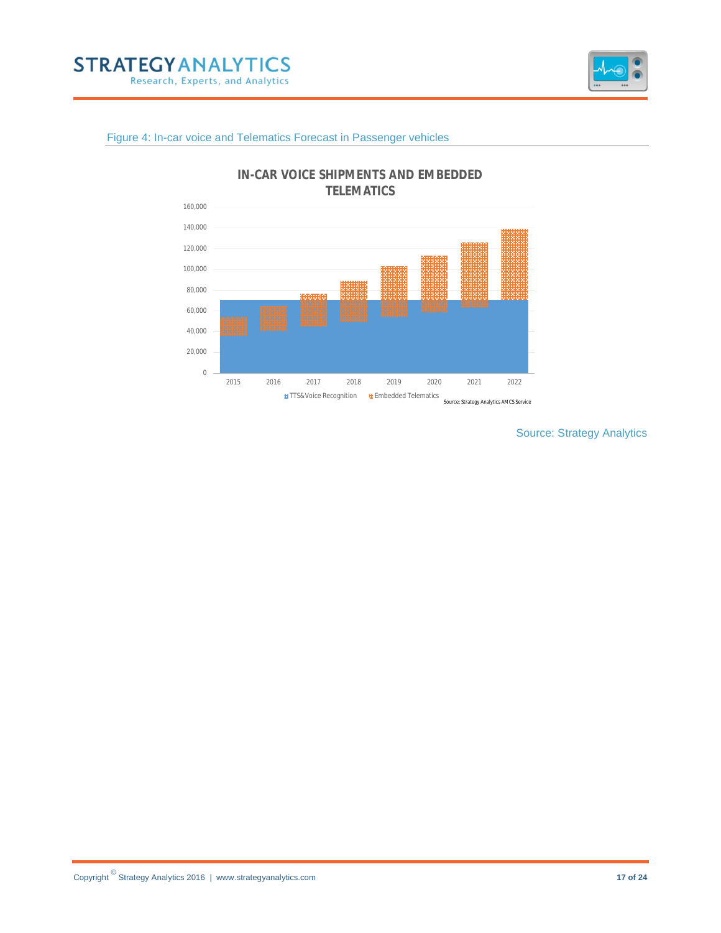



#### Figure 4: In-car voice and Telematics Forecast in Passenger vehicles



Source: Strategy Analytics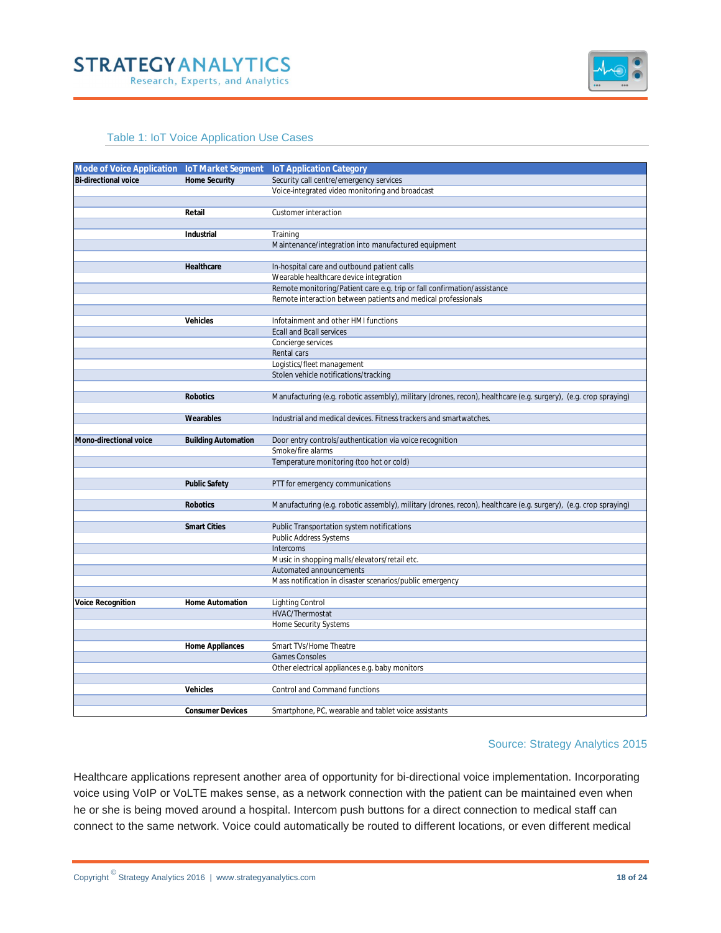



#### Table 1: IoT Voice Application Use Cases

| Mode of Voice Application loT Market Segment |                            | <b>IoT Application Category</b>                                                                                  |
|----------------------------------------------|----------------------------|------------------------------------------------------------------------------------------------------------------|
| Bi-directional voice                         | <b>Home Security</b>       | Security call centre/emergency services                                                                          |
|                                              |                            | Voice-integrated video monitoring and broadcast                                                                  |
|                                              |                            |                                                                                                                  |
|                                              | Retail                     | Customer interaction                                                                                             |
|                                              |                            |                                                                                                                  |
|                                              | Industrial                 | Training                                                                                                         |
|                                              |                            | Maintenance/integration into manufactured equipment                                                              |
|                                              |                            |                                                                                                                  |
|                                              | Healthcare                 | In-hospital care and outbound patient calls                                                                      |
|                                              |                            | Wearable healthcare device integration                                                                           |
|                                              |                            | Remote monitoring/Patient care e.g. trip or fall confirmation/assistance                                         |
|                                              |                            | Remote interaction between patients and medical professionals                                                    |
|                                              |                            |                                                                                                                  |
|                                              | Vehicles                   | Infotainment and other HMI functions                                                                             |
|                                              |                            | <b>Ecall and Bcall services</b>                                                                                  |
|                                              |                            | Concierge services                                                                                               |
|                                              |                            | Rental cars                                                                                                      |
|                                              |                            | Logistics/fleet management                                                                                       |
|                                              |                            | Stolen vehicle notifications/tracking                                                                            |
|                                              |                            |                                                                                                                  |
|                                              | Robotics                   | Manufacturing (e.g. robotic assembly), military (drones, recon), healthcare (e.g. surgery), (e.g. crop spraying) |
|                                              |                            |                                                                                                                  |
|                                              | Wearables                  | Industrial and medical devices. Fitness trackers and smartwatches.                                               |
| Mono-directional voice                       |                            |                                                                                                                  |
|                                              | <b>Building Automation</b> | Door entry controls/authentication via voice recognition<br>Smoke/fire alarms                                    |
|                                              |                            | Temperature monitoring (too hot or cold)                                                                         |
|                                              |                            |                                                                                                                  |
|                                              | <b>Public Safety</b>       | PTT for emergency communications                                                                                 |
|                                              |                            |                                                                                                                  |
|                                              | Robotics                   | Manufacturing (e.g. robotic assembly), military (drones, recon), healthcare (e.g. surgery), (e.g. crop spraying) |
|                                              |                            |                                                                                                                  |
|                                              | <b>Smart Cities</b>        | Public Transportation system notifications                                                                       |
|                                              |                            | Public Address Systems                                                                                           |
|                                              |                            | Intercoms                                                                                                        |
|                                              |                            | Music in shopping malls/elevators/retail etc.                                                                    |
|                                              |                            | Automated announcements                                                                                          |
|                                              |                            | Mass notification in disaster scenarios/public emergency                                                         |
|                                              |                            |                                                                                                                  |
| Voice Recognition                            | Home Automation            | <b>Lighting Control</b>                                                                                          |
|                                              |                            | HVAC/Thermostat                                                                                                  |
|                                              |                            | Home Security Systems                                                                                            |
|                                              |                            |                                                                                                                  |
|                                              | Home Appliances            | Smart TVs/Home Theatre                                                                                           |
|                                              |                            | <b>Games Consoles</b>                                                                                            |
|                                              |                            | Other electrical appliances e.g. baby monitors                                                                   |
|                                              |                            |                                                                                                                  |
|                                              | Vehicles                   | Control and Command functions                                                                                    |
|                                              |                            |                                                                                                                  |
|                                              | <b>Consumer Devices</b>    | Smartphone, PC, wearable and tablet voice assistants                                                             |

#### Source: Strategy Analytics 2015

Healthcare applications represent another area of opportunity for bi-directional voice implementation. Incorporating voice using VoIP or VoLTE makes sense, as a network connection with the patient can be maintained even when he or she is being moved around a hospital. Intercom push buttons for a direct connection to medical staff can connect to the same network. Voice could automatically be routed to different locations, or even different medical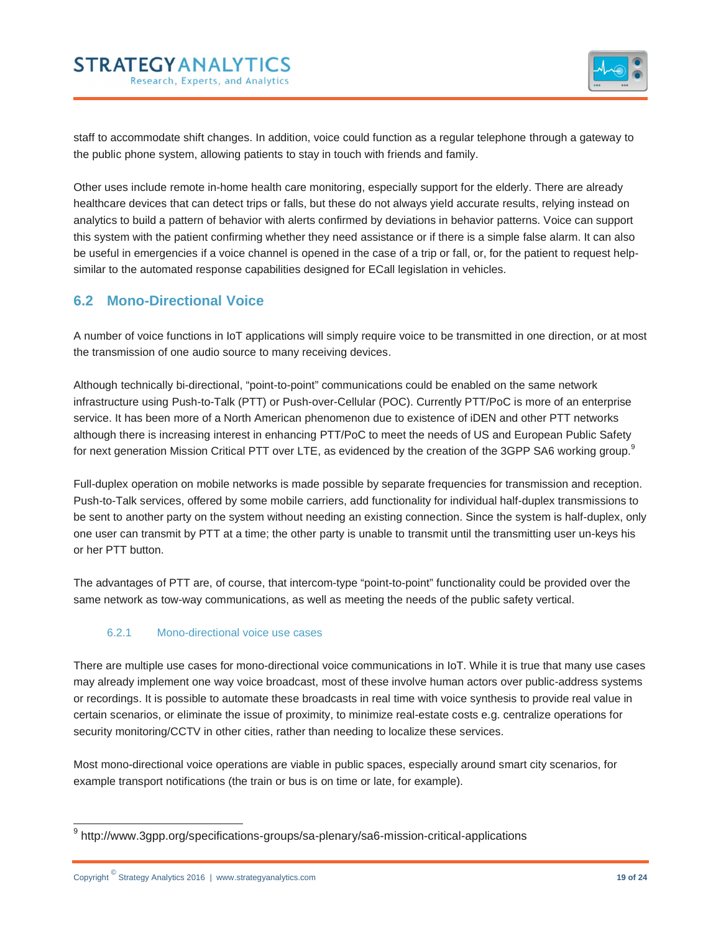

staff to accommodate shift changes. In addition, voice could function as a regular telephone through a gateway to the public phone system, allowing patients to stay in touch with friends and family.

Other uses include remote in-home health care monitoring, especially support for the elderly. There are already healthcare devices that can detect trips or falls, but these do not always yield accurate results, relying instead on analytics to build a pattern of behavior with alerts confirmed by deviations in behavior patterns. Voice can support this system with the patient confirming whether they need assistance or if there is a simple false alarm. It can also be useful in emergencies if a voice channel is opened in the case of a trip or fall, or, for the patient to request helpsimilar to the automated response capabilities designed for ECall legislation in vehicles.

## **6.2 Mono-Directional Voice**

A number of voice functions in IoT applications will simply require voice to be transmitted in one direction, or at most the transmission of one audio source to many receiving devices.

Although technically bi-directional, "point-to-point" communications could be enabled on the same network infrastructure using Push-to-Talk (PTT) or Push-over-Cellular (POC). Currently PTT/PoC is more of an enterprise service. It has been more of a North American phenomenon due to existence of iDEN and other PTT networks although there is increasing interest in enhancing PTT/PoC to meet the needs of US and European Public Safety for next generation Mission Critical PTT over LTE, as evidenced by the creation of the 3GPP SA6 working group.<sup>9</sup>

Full-duplex operation on mobile networks is made possible by separate frequencies for transmission and reception. Push-to-Talk services, offered by some mobile carriers, add functionality for individual half-duplex transmissions to be sent to another party on the system without needing an existing connection. Since the system is half-duplex, only one user can transmit by PTT at a time; the other party is unable to transmit until the transmitting user un-keys his or her PTT button.

The advantages of PTT are, of course, that intercom-type "point-to-point" functionality could be provided over the same network as tow-way communications, as well as meeting the needs of the public safety vertical.

### 6.2.1 Mono-directional voice use cases

There are multiple use cases for mono-directional voice communications in IoT. While it is true that many use cases may already implement one way voice broadcast, most of these involve human actors over public-address systems or recordings. It is possible to automate these broadcasts in real time with voice synthesis to provide real value in certain scenarios, or eliminate the issue of proximity, to minimize real-estate costs e.g. centralize operations for security monitoring/CCTV in other cities, rather than needing to localize these services.

Most mono-directional voice operations are viable in public spaces, especially around smart city scenarios, for example transport notifications (the train or bus is on time or late, for example).

 <sup>9</sup> http://www.3gpp.org/specifications-groups/sa-plenary/sa6-mission-critical-applications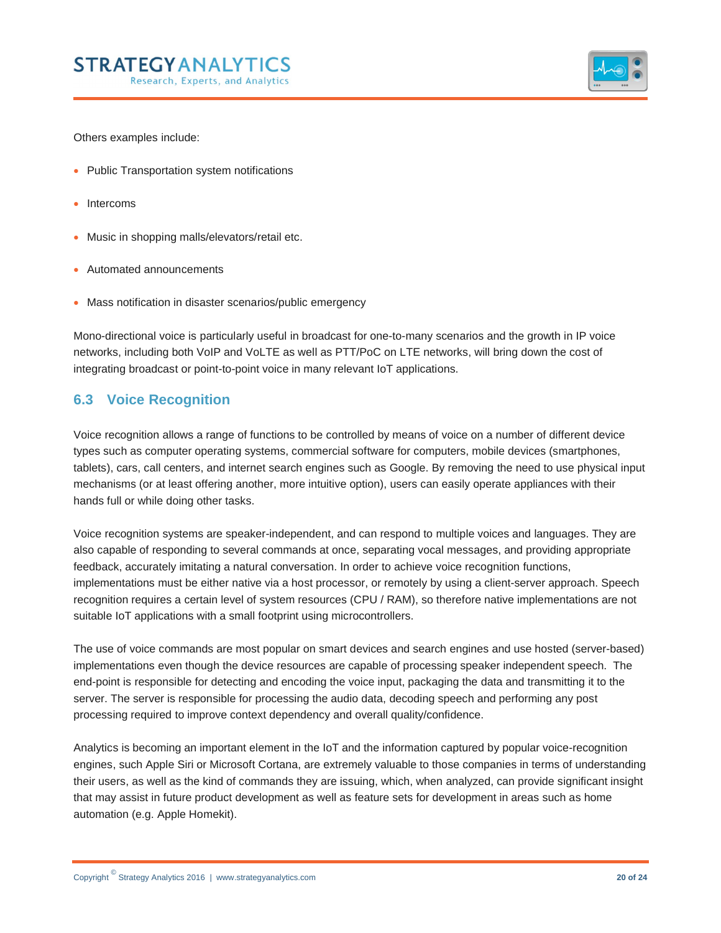

Others examples include:

- Public Transportation system notifications
- Intercoms
- Music in shopping malls/elevators/retail etc.
- Automated announcements
- Mass notification in disaster scenarios/public emergency

Mono-directional voice is particularly useful in broadcast for one-to-many scenarios and the growth in IP voice networks, including both VoIP and VoLTE as well as PTT/PoC on LTE networks, will bring down the cost of integrating broadcast or point-to-point voice in many relevant IoT applications.

### **6.3 Voice Recognition**

Voice recognition allows a range of functions to be controlled by means of voice on a number of different device types such as computer operating systems, commercial software for computers, mobile devices (smartphones, tablets), cars, call centers, and internet search engines such as Google. By removing the need to use physical input mechanisms (or at least offering another, more intuitive option), users can easily operate appliances with their hands full or while doing other tasks.

Voice recognition systems are speaker-independent, and can respond to multiple voices and languages. They are also capable of responding to several commands at once, separating vocal messages, and providing appropriate feedback, accurately imitating a natural conversation. In order to achieve voice recognition functions, implementations must be either native via a host processor, or remotely by using a client-server approach. Speech recognition requires a certain level of system resources (CPU / RAM), so therefore native implementations are not suitable IoT applications with a small footprint using microcontrollers.

The use of voice commands are most popular on smart devices and search engines and use hosted (server-based) implementations even though the device resources are capable of processing speaker independent speech. The end-point is responsible for detecting and encoding the voice input, packaging the data and transmitting it to the server. The server is responsible for processing the audio data, decoding speech and performing any post processing required to improve context dependency and overall quality/confidence.

Analytics is becoming an important element in the IoT and the information captured by popular voice-recognition engines, such Apple Siri or Microsoft Cortana, are extremely valuable to those companies in terms of understanding their users, as well as the kind of commands they are issuing, which, when analyzed, can provide significant insight that may assist in future product development as well as feature sets for development in areas such as home automation (e.g. Apple Homekit).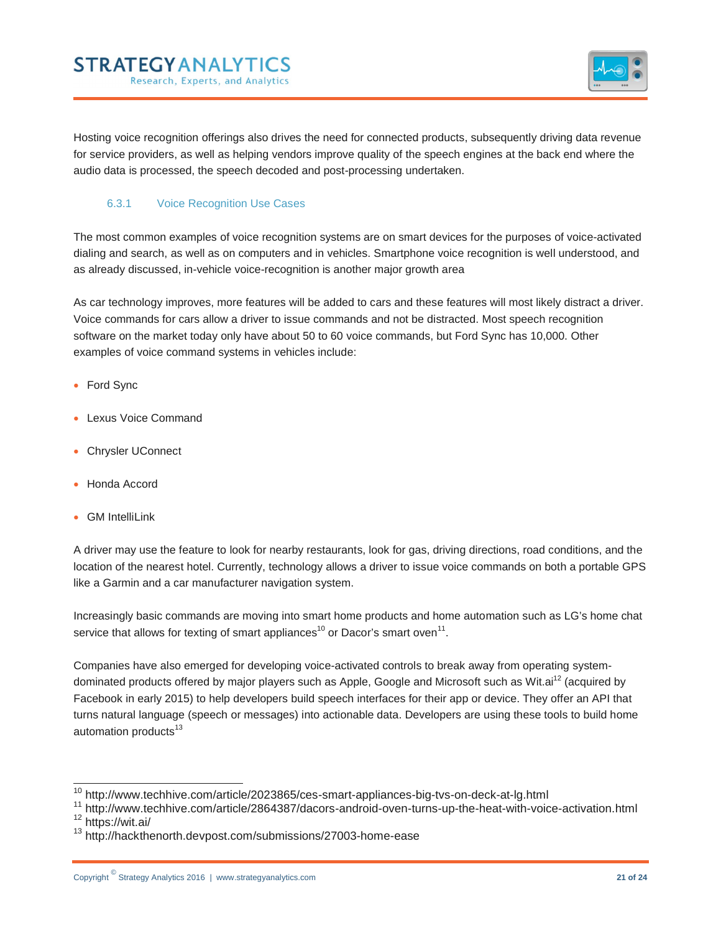**STRATEGY ANALYTICS** Research, Experts, and Analytics



Hosting voice recognition offerings also drives the need for connected products, subsequently driving data revenue for service providers, as well as helping vendors improve quality of the speech engines at the back end where the audio data is processed, the speech decoded and post-processing undertaken.

#### 6.3.1 Voice Recognition Use Cases

The most common examples of voice recognition systems are on smart devices for the purposes of voice-activated dialing and search, as well as on computers and in vehicles. Smartphone voice recognition is well understood, and as already discussed, in-vehicle voice-recognition is another major growth area

As car technology improves, more features will be added to cars and these features will most likely distract a driver. Voice commands for cars allow a driver to issue commands and not be distracted. Most speech recognition software on the market today only have about 50 to 60 voice commands, but Ford Sync has 10,000. Other examples of voice command systems in vehicles include:

- Ford Sync
- Lexus Voice Command
- Chrysler UConnect
- Honda Accord
- GM IntelliLink

A driver may use the feature to look for nearby restaurants, look for gas, driving directions, road conditions, and the location of the nearest hotel. Currently, technology allows a driver to issue voice commands on both a portable GPS like a Garmin and a car manufacturer navigation system.

Increasingly basic commands are moving into smart home products and home automation such as LG's home chat service that allows for texting of smart appliances<sup>10</sup> or Dacor's smart oven<sup>11</sup>.

Companies have also emerged for developing voice-activated controls to break away from operating systemdominated products offered by major players such as Apple, Google and Microsoft such as Wit.ai<sup>12</sup> (acquired by Facebook in early 2015) to help developers build speech interfaces for their app or device. They offer an API that turns natural language (speech or messages) into actionable data. Developers are using these tools to build home automation products<sup>13</sup>

<sup>&</sup>lt;sup>10</sup> http://www.techhive.com/article/2023865/ces-smart-appliances-big-tvs-on-deck-at-lg.html<br><sup>11</sup> http://www.techhive.com/article/2864387/dacors-android-oven-turns-up-the-heat-with-voice-activation.html<br><sup>12</sup> https://wit.a

<sup>13</sup> http://hackthenorth.devpost.com/submissions/27003-home-ease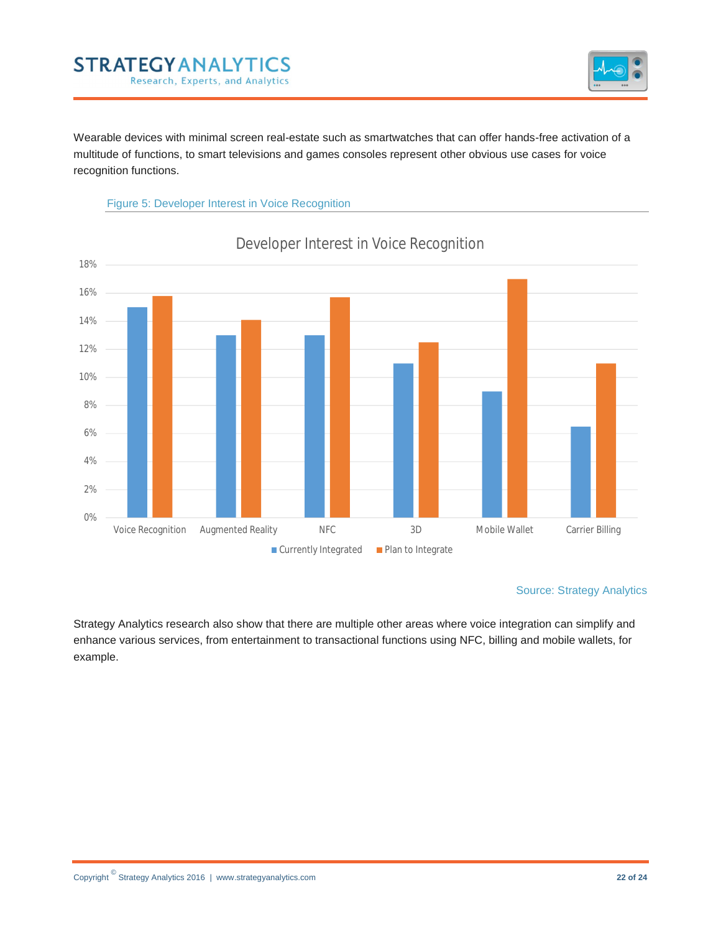## **STRATEGY AN ALYTICS** Research, Experts, and Analytics



Wearable devices with minimal screen real-estate such as smartwatches that can offer hands-free activation of a multitude of functions, to smart televisions and games consoles represent other obvious use cases for voice recognition functions.





## Developer Interest in Voice Recognition

#### Source: Strategy Analytics

Strategy Analytics research also show that there are multiple other areas where voice integration can simplify and enhance various services, from entertainment to transactional functions using NFC, billing and mobile wallets, for example.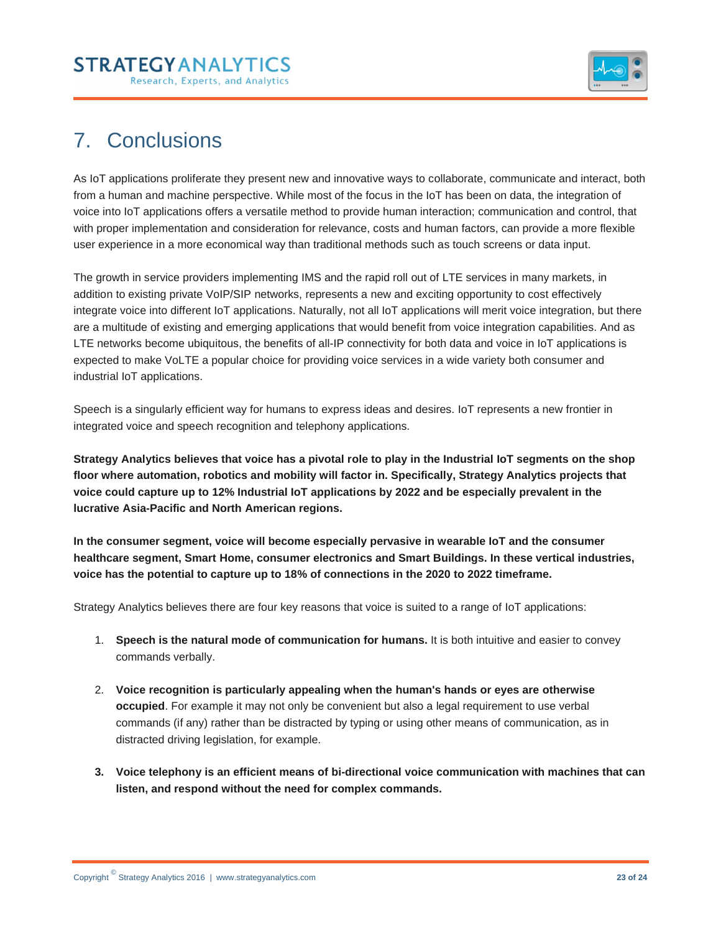

# 7. Conclusions

As IoT applications proliferate they present new and innovative ways to collaborate, communicate and interact, both from a human and machine perspective. While most of the focus in the IoT has been on data, the integration of voice into IoT applications offers a versatile method to provide human interaction; communication and control, that with proper implementation and consideration for relevance, costs and human factors, can provide a more flexible user experience in a more economical way than traditional methods such as touch screens or data input.

The growth in service providers implementing IMS and the rapid roll out of LTE services in many markets, in addition to existing private VoIP/SIP networks, represents a new and exciting opportunity to cost effectively integrate voice into different IoT applications. Naturally, not all IoT applications will merit voice integration, but there are a multitude of existing and emerging applications that would benefit from voice integration capabilities. And as LTE networks become ubiquitous, the benefits of all-IP connectivity for both data and voice in IoT applications is expected to make VoLTE a popular choice for providing voice services in a wide variety both consumer and industrial IoT applications.

Speech is a singularly efficient way for humans to express ideas and desires. IoT represents a new frontier in integrated voice and speech recognition and telephony applications.

**Strategy Analytics believes that voice has a pivotal role to play in the Industrial IoT segments on the shop floor where automation, robotics and mobility will factor in. Specifically, Strategy Analytics projects that voice could capture up to 12% Industrial IoT applications by 2022 and be especially prevalent in the lucrative Asia-Pacific and North American regions.** 

**In the consumer segment, voice will become especially pervasive in wearable IoT and the consumer healthcare segment, Smart Home, consumer electronics and Smart Buildings. In these vertical industries, voice has the potential to capture up to 18% of connections in the 2020 to 2022 timeframe.**

Strategy Analytics believes there are four key reasons that voice is suited to a range of IoT applications:

- 1. **Speech is the natural mode of communication for humans.** It is both intuitive and easier to convey commands verbally.
- 2. **Voice recognition is particularly appealing when the human's hands or eyes are otherwise occupied**. For example it may not only be convenient but also a legal requirement to use verbal commands (if any) rather than be distracted by typing or using other means of communication, as in distracted driving legislation, for example.
- **3. Voice telephony is an efficient means of bi-directional voice communication with machines that can listen, and respond without the need for complex commands.**